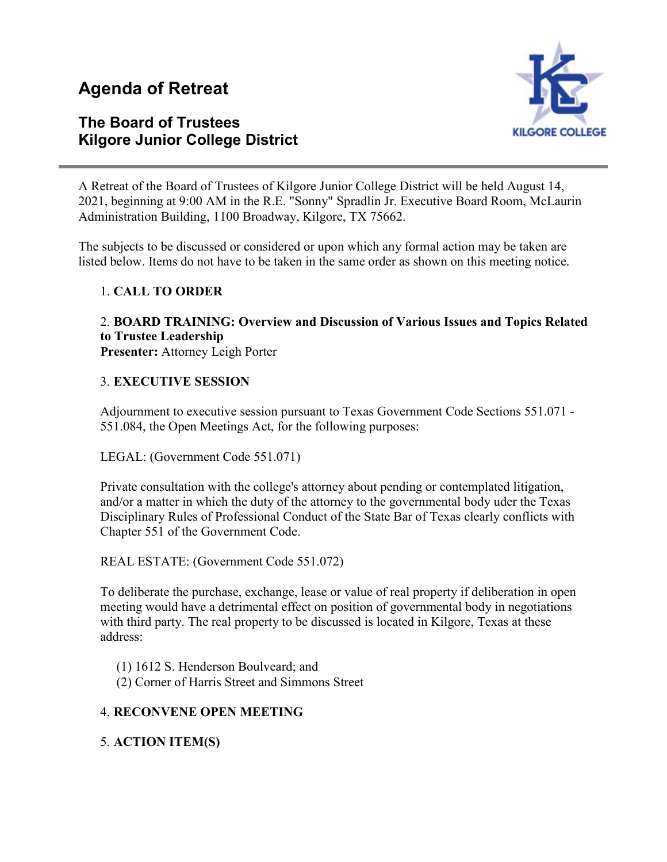# **Agenda of Retreat**

### **The Board of Trustees Kilgore Junior College District**



A Retreat of the Board of Trustees of Kilgore Junior College District will be held August 14, 2021, beginning at 9:00 AM in the R.E. "Sonny" Spradlin Jr. Executive Board Room, McLaurin Administration Building, 1100 Broadway, Kilgore, TX 75662.

The subjects to be discussed or considered or upon which any formal action may be taken are listed below. Items do not have to be taken in the same order as shown on this meeting notice.

### 1. **CALL TO ORDER**

## 2. **BOARD TRAINING: Overview and Discussion of Various Issues and Topics Related to Trustee Leadership**

**Presenter:** Attorney Leigh Porter

### 3. **EXECUTIVE SESSION**

Adjournment to executive session pursuant to Texas Government Code Sections 551.071 - 551.084, the Open Meetings Act, for the following purposes:

LEGAL: (Government Code 551.071)

Private consultation with the college's attorney about pending or contemplated litigation, and/or a matter in which the duty of the attorney to the governmental body uder the Texas Disciplinary Rules of Professional Conduct of the State Bar of Texas clearly conflicts with Chapter 551 of the Government Code.

REAL ESTATE: (Government Code 551.072)

To deliberate the purchase, exchange, lease or value of real property if deliberation in open meeting would have a detrimental effect on position of governmental body in negotiations with third party. The real property to be discussed is located in Kilgore, Texas at these address:

(1) 1612 S. Henderson Boulveard; and

(2) Corner of Harris Street and Simmons Street

### 4. **RECONVENE OPEN MEETING**

5. **ACTION ITEM(S)**